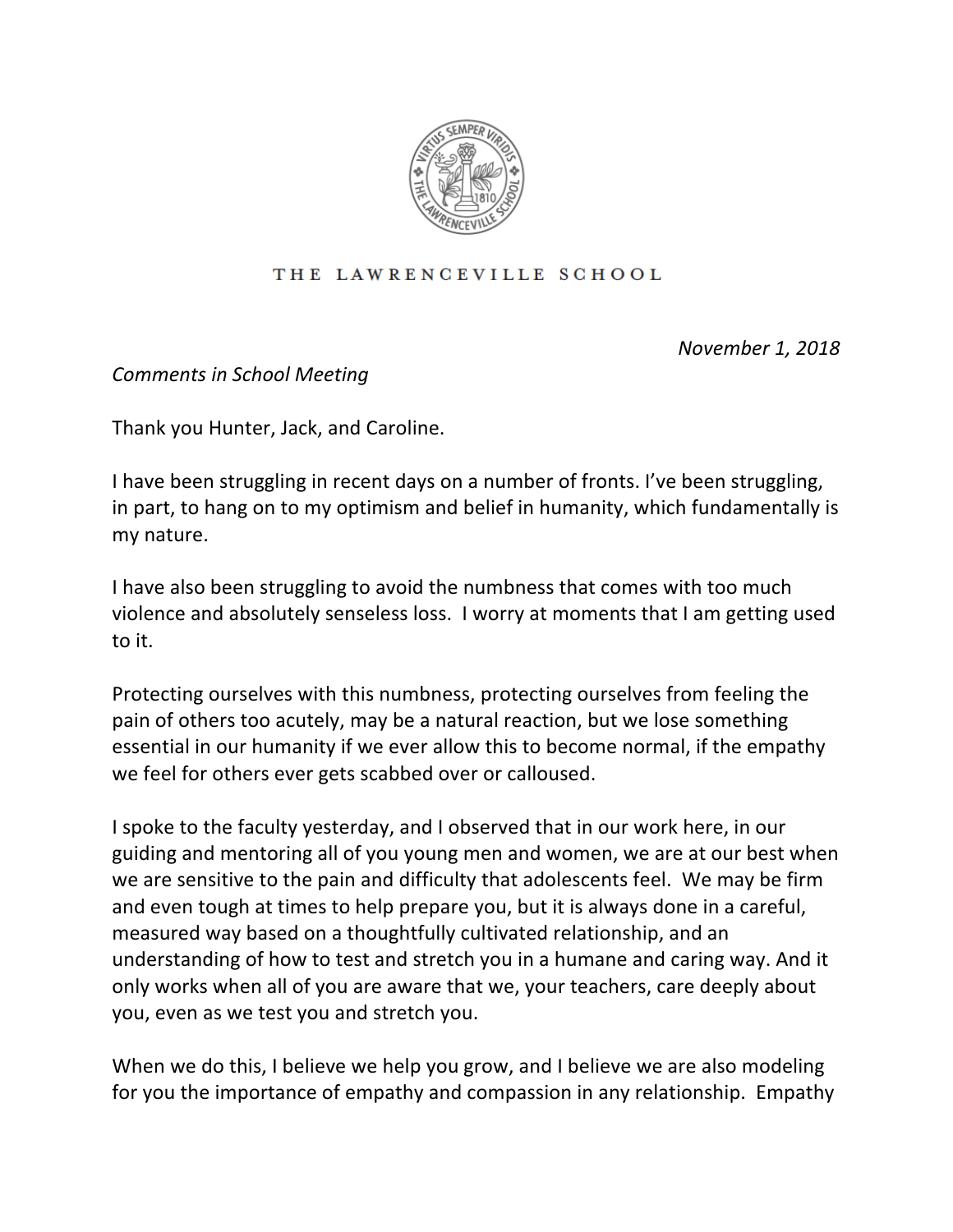

## THE LAWRENCEVILLE SCHOOL

*November 1, 2018*

*Comments in School Meeting* 

Thank you Hunter, Jack, and Caroline.

I have been struggling in recent days on a number of fronts. I've been struggling, in part, to hang on to my optimism and belief in humanity, which fundamentally is my nature.

I have also been struggling to avoid the numbness that comes with too much violence and absolutely senseless loss. I worry at moments that I am getting used to it.

Protecting ourselves with this numbness, protecting ourselves from feeling the pain of others too acutely, may be a natural reaction, but we lose something essential in our humanity if we ever allow this to become normal, if the empathy we feel for others ever gets scabbed over or calloused.

I spoke to the faculty yesterday, and I observed that in our work here, in our guiding and mentoring all of you young men and women, we are at our best when we are sensitive to the pain and difficulty that adolescents feel. We may be firm and even tough at times to help prepare you, but it is always done in a careful, measured way based on a thoughtfully cultivated relationship, and an understanding of how to test and stretch you in a humane and caring way. And it only works when all of you are aware that we, your teachers, care deeply about you, even as we test you and stretch you.

When we do this, I believe we help you grow, and I believe we are also modeling for you the importance of empathy and compassion in any relationship. Empathy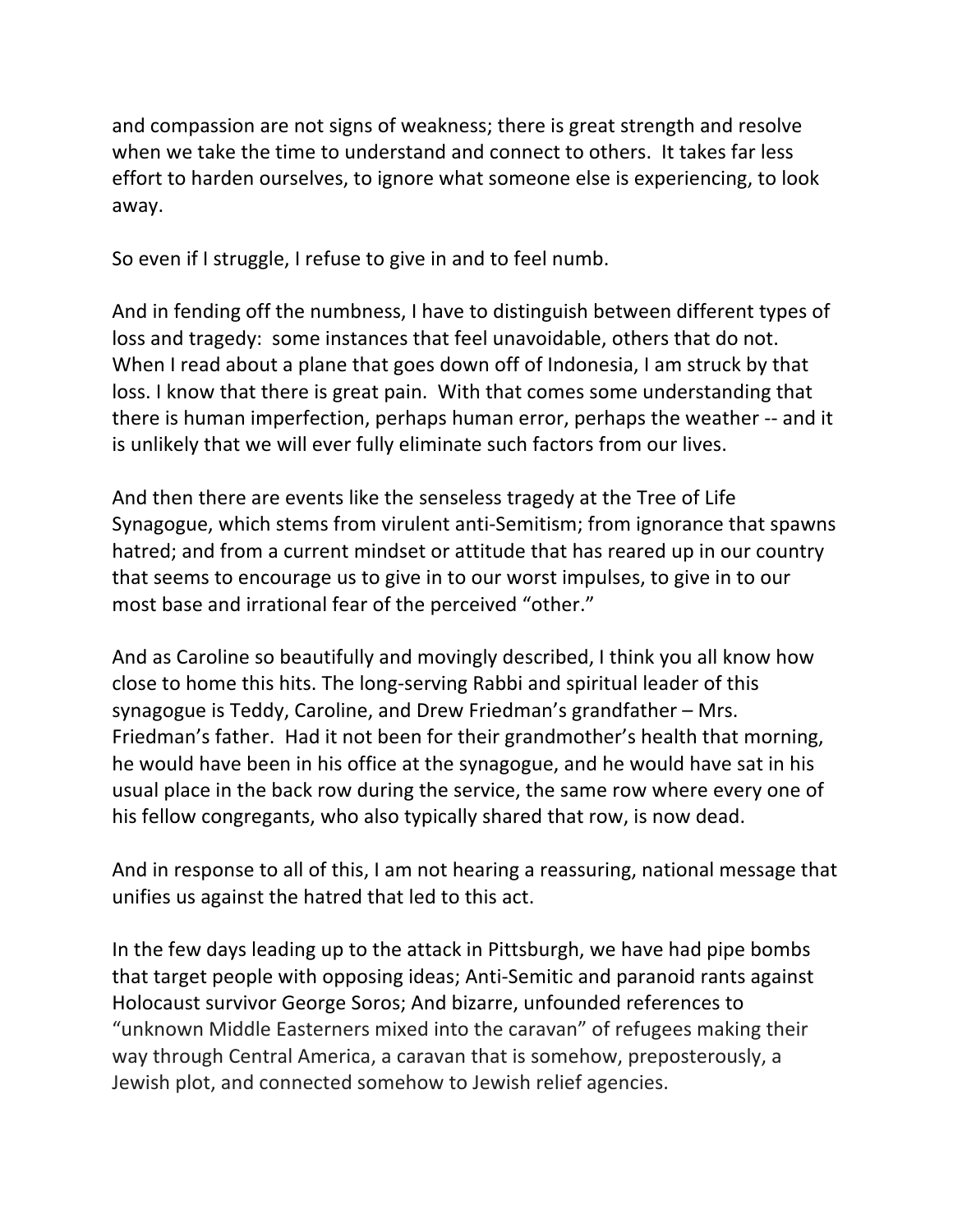and compassion are not signs of weakness; there is great strength and resolve when we take the time to understand and connect to others. It takes far less effort to harden ourselves, to ignore what someone else is experiencing, to look away. 

So even if I struggle, I refuse to give in and to feel numb.

And in fending off the numbness, I have to distinguish between different types of loss and tragedy: some instances that feel unavoidable, others that do not. When I read about a plane that goes down off of Indonesia, I am struck by that loss. I know that there is great pain. With that comes some understanding that there is human imperfection, perhaps human error, perhaps the weather -- and it is unlikely that we will ever fully eliminate such factors from our lives.

And then there are events like the senseless tragedy at the Tree of Life Synagogue, which stems from virulent anti-Semitism; from ignorance that spawns hatred; and from a current mindset or attitude that has reared up in our country that seems to encourage us to give in to our worst impulses, to give in to our most base and irrational fear of the perceived "other."

And as Caroline so beautifully and movingly described, I think you all know how close to home this hits. The long-serving Rabbi and spiritual leader of this synagogue is Teddy, Caroline, and Drew Friedman's grandfather  $-$  Mrs. Friedman's father. Had it not been for their grandmother's health that morning, he would have been in his office at the synagogue, and he would have sat in his usual place in the back row during the service, the same row where every one of his fellow congregants, who also typically shared that row, is now dead.

And in response to all of this, I am not hearing a reassuring, national message that unifies us against the hatred that led to this act.

In the few days leading up to the attack in Pittsburgh, we have had pipe bombs that target people with opposing ideas; Anti-Semitic and paranoid rants against Holocaust survivor George Soros; And bizarre, unfounded references to "unknown Middle Easterners mixed into the caravan" of refugees making their way through Central America, a caravan that is somehow, preposterously, a Jewish plot, and connected somehow to Jewish relief agencies.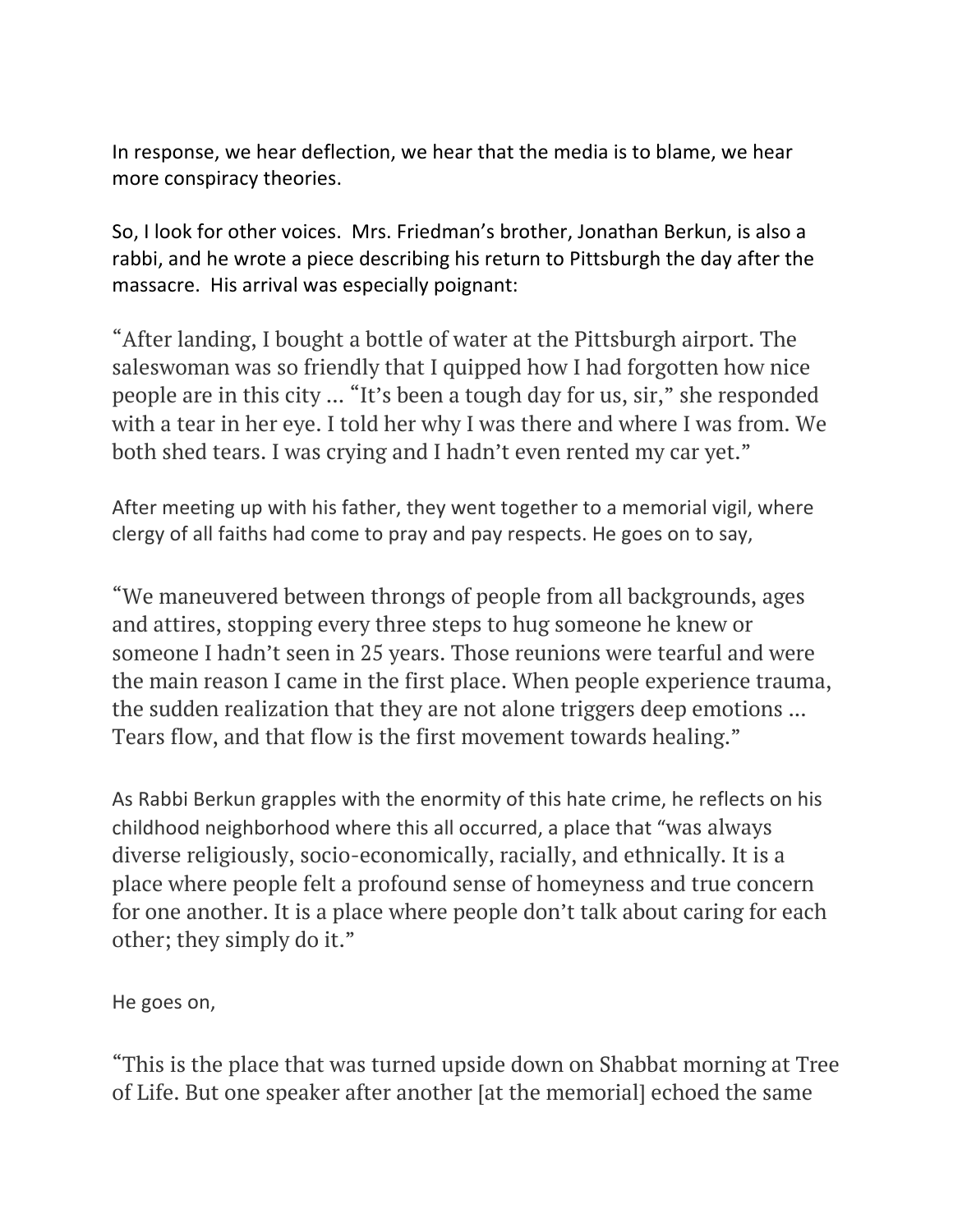In response, we hear deflection, we hear that the media is to blame, we hear more conspiracy theories.

So, I look for other voices. Mrs. Friedman's brother, Jonathan Berkun, is also a rabbi, and he wrote a piece describing his return to Pittsburgh the day after the massacre. His arrival was especially poignant:

"After landing, I bought a bottle of water at the Pittsburgh airport. The saleswoman was so friendly that I quipped how I had forgotten how nice people are in this city ... "It's been a tough day for us, sir," she responded with a tear in her eye. I told her why I was there and where I was from. We both shed tears. I was crying and I hadn't even rented my car yet."

After meeting up with his father, they went together to a memorial vigil, where clergy of all faiths had come to pray and pay respects. He goes on to say,

"We maneuvered between throngs of people from all backgrounds, ages and attires, stopping every three steps to hug someone he knew or someone I hadn't seen in 25 years. Those reunions were tearful and were the main reason I came in the first place. When people experience trauma, the sudden realization that they are not alone triggers deep emotions ... Tears flow, and that flow is the first movement towards healing."

As Rabbi Berkun grapples with the enormity of this hate crime, he reflects on his childhood neighborhood where this all occurred, a place that "was always diverse religiously, socio-economically, racially, and ethnically. It is a place where people felt a profound sense of homeyness and true concern for one another. It is a place where people don't talk about caring for each other; they simply do it."

He goes on,

"This is the place that was turned upside down on Shabbat morning at Tree of Life. But one speaker after another [at the memorial] echoed the same